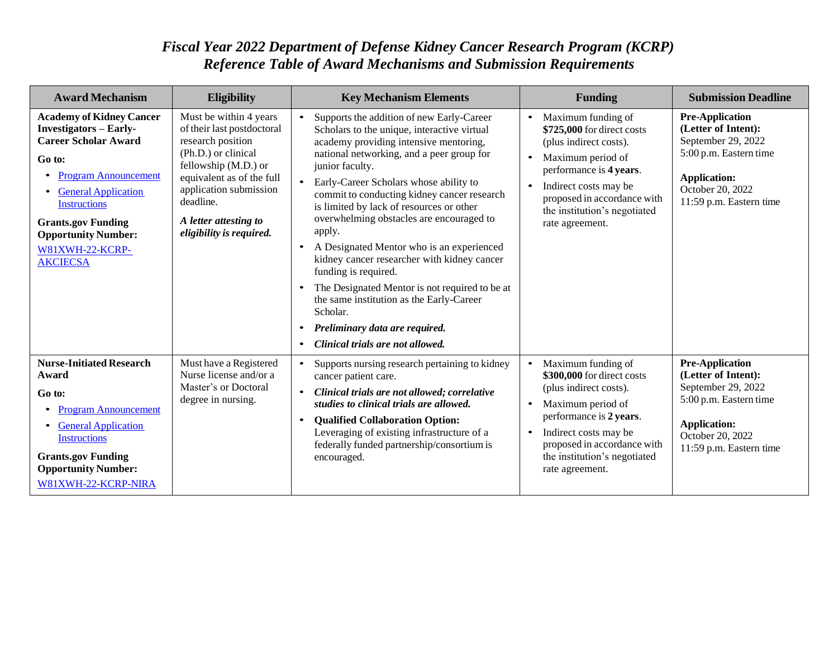| <b>Award Mechanism</b>                                                                                                                                                                                                                                                                         | <b>Eligibility</b>                                                                                                                                                                                                                                | <b>Key Mechanism Elements</b>                                                                                                                                                                                                                                                                                                                                                                                                                                                                                                                                                                                                                                                                                  | <b>Funding</b>                                                                                                                                                                                                                                                  | <b>Submission Deadline</b>                                                                                                                                          |
|------------------------------------------------------------------------------------------------------------------------------------------------------------------------------------------------------------------------------------------------------------------------------------------------|---------------------------------------------------------------------------------------------------------------------------------------------------------------------------------------------------------------------------------------------------|----------------------------------------------------------------------------------------------------------------------------------------------------------------------------------------------------------------------------------------------------------------------------------------------------------------------------------------------------------------------------------------------------------------------------------------------------------------------------------------------------------------------------------------------------------------------------------------------------------------------------------------------------------------------------------------------------------------|-----------------------------------------------------------------------------------------------------------------------------------------------------------------------------------------------------------------------------------------------------------------|---------------------------------------------------------------------------------------------------------------------------------------------------------------------|
| <b>Academy of Kidney Cancer</b><br><b>Investigators – Early-</b><br><b>Career Scholar Award</b><br>Go to:<br><b>Program Announcement</b><br><b>General Application</b><br><b>Instructions</b><br><b>Grants.gov Funding</b><br><b>Opportunity Number:</b><br>W81XWH-22-KCRP-<br><b>AKCIECSA</b> | Must be within 4 years<br>of their last postdoctoral<br>research position<br>(Ph.D.) or clinical<br>fellowship (M.D.) or<br>equivalent as of the full<br>application submission<br>deadline.<br>A letter attesting to<br>eligibility is required. | Supports the addition of new Early-Career<br>Scholars to the unique, interactive virtual<br>academy providing intensive mentoring,<br>national networking, and a peer group for<br>junior faculty.<br>Early-Career Scholars whose ability to<br>commit to conducting kidney cancer research<br>is limited by lack of resources or other<br>overwhelming obstacles are encouraged to<br>apply.<br>A Designated Mentor who is an experienced<br>kidney cancer researcher with kidney cancer<br>funding is required.<br>The Designated Mentor is not required to be at<br>the same institution as the Early-Career<br>Scholar.<br>Preliminary data are required.<br>$\bullet$<br>Clinical trials are not allowed. | Maximum funding of<br>\$725,000 for direct costs<br>(plus indirect costs).<br>Maximum period of<br>$\bullet$<br>performance is 4 years.<br>Indirect costs may be<br>$\bullet$<br>proposed in accordance with<br>the institution's negotiated<br>rate agreement. | <b>Pre-Application</b><br>(Letter of Intent):<br>September 29, 2022<br>5:00 p.m. Eastern time<br><b>Application:</b><br>October 20, 2022<br>11:59 p.m. Eastern time |
| <b>Nurse-Initiated Research</b><br>Award<br>Go to:<br><b>Program Announcement</b><br><b>General Application</b><br><b>Instructions</b><br><b>Grants.gov Funding</b><br><b>Opportunity Number:</b><br>W81XWH-22-KCRP-NIRA                                                                       | Must have a Registered<br>Nurse license and/or a<br>Master's or Doctoral<br>degree in nursing.                                                                                                                                                    | Supports nursing research pertaining to kidney<br>cancer patient care.<br>Clinical trials are not allowed; correlative<br>studies to clinical trials are allowed.<br><b>Qualified Collaboration Option:</b><br>Leveraging of existing infrastructure of a<br>federally funded partnership/consortium is<br>encouraged.                                                                                                                                                                                                                                                                                                                                                                                         | Maximum funding of<br>\$300,000 for direct costs<br>(plus indirect costs).<br>Maximum period of<br>performance is 2 years.<br>Indirect costs may be<br>proposed in accordance with<br>the institution's negotiated<br>rate agreement.                           | <b>Pre-Application</b><br>(Letter of Intent):<br>September 29, 2022<br>5:00 p.m. Eastern time<br><b>Application:</b><br>October 20, 2022<br>11:59 p.m. Eastern time |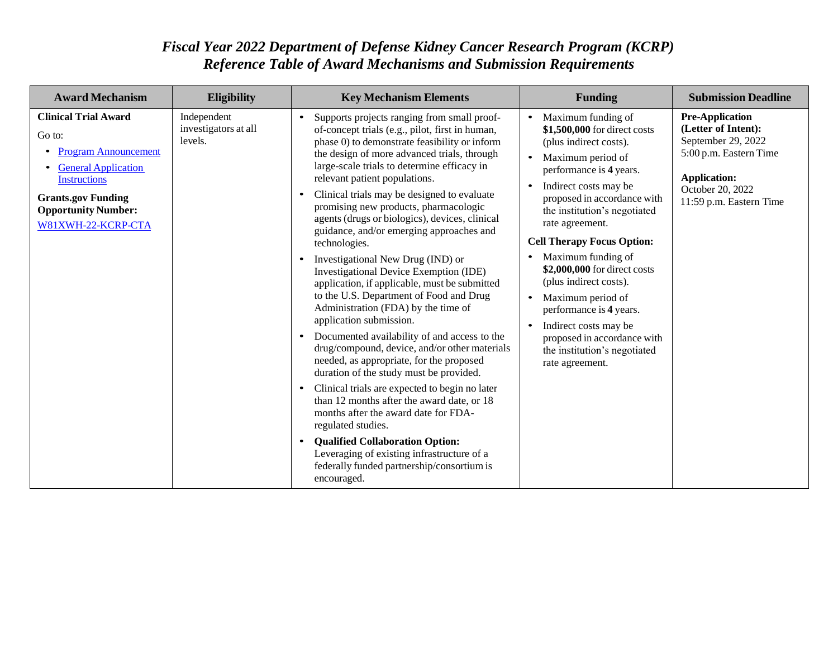| <b>Award Mechanism</b>                                                                                                                                                                                     | <b>Eligibility</b>                             | <b>Key Mechanism Elements</b>                                                                                                                                                                                                                                                                                                                                                                                                                                                                                                                                                                                                                                                                                                                                                                                                                                                                                                                                                                                                                                                                                                                                                                                                                                                                                               | <b>Funding</b>                                                                                                                                                                                                                                                                                                                                                                                                                                                                                                                                    | <b>Submission Deadline</b>                                                                                                                                          |
|------------------------------------------------------------------------------------------------------------------------------------------------------------------------------------------------------------|------------------------------------------------|-----------------------------------------------------------------------------------------------------------------------------------------------------------------------------------------------------------------------------------------------------------------------------------------------------------------------------------------------------------------------------------------------------------------------------------------------------------------------------------------------------------------------------------------------------------------------------------------------------------------------------------------------------------------------------------------------------------------------------------------------------------------------------------------------------------------------------------------------------------------------------------------------------------------------------------------------------------------------------------------------------------------------------------------------------------------------------------------------------------------------------------------------------------------------------------------------------------------------------------------------------------------------------------------------------------------------------|---------------------------------------------------------------------------------------------------------------------------------------------------------------------------------------------------------------------------------------------------------------------------------------------------------------------------------------------------------------------------------------------------------------------------------------------------------------------------------------------------------------------------------------------------|---------------------------------------------------------------------------------------------------------------------------------------------------------------------|
| <b>Clinical Trial Award</b><br>Go to:<br><b>Program Announcement</b><br><b>General Application</b><br><b>Instructions</b><br><b>Grants.gov Funding</b><br><b>Opportunity Number:</b><br>W81XWH-22-KCRP-CTA | Independent<br>investigators at all<br>levels. | Supports projects ranging from small proof-<br>$\bullet$<br>of-concept trials (e.g., pilot, first in human,<br>phase 0) to demonstrate feasibility or inform<br>the design of more advanced trials, through<br>large-scale trials to determine efficacy in<br>relevant patient populations.<br>Clinical trials may be designed to evaluate<br>$\bullet$<br>promising new products, pharmacologic<br>agents (drugs or biologics), devices, clinical<br>guidance, and/or emerging approaches and<br>technologies.<br>Investigational New Drug (IND) or<br>$\bullet$<br>Investigational Device Exemption (IDE)<br>application, if applicable, must be submitted<br>to the U.S. Department of Food and Drug<br>Administration (FDA) by the time of<br>application submission.<br>Documented availability of and access to the<br>$\bullet$<br>drug/compound, device, and/or other materials<br>needed, as appropriate, for the proposed<br>duration of the study must be provided.<br>Clinical trials are expected to begin no later<br>$\bullet$<br>than 12 months after the award date, or 18<br>months after the award date for FDA-<br>regulated studies.<br><b>Qualified Collaboration Option:</b><br>$\bullet$<br>Leveraging of existing infrastructure of a<br>federally funded partnership/consortium is<br>encouraged. | Maximum funding of<br>\$1,500,000 for direct costs<br>(plus indirect costs).<br>Maximum period of<br>performance is 4 years.<br>Indirect costs may be<br>$\bullet$<br>proposed in accordance with<br>the institution's negotiated<br>rate agreement.<br><b>Cell Therapy Focus Option:</b><br>Maximum funding of<br>\$2,000,000 for direct costs<br>(plus indirect costs).<br>Maximum period of<br>performance is 4 years.<br>Indirect costs may be<br>$\bullet$<br>proposed in accordance with<br>the institution's negotiated<br>rate agreement. | <b>Pre-Application</b><br>(Letter of Intent):<br>September 29, 2022<br>5:00 p.m. Eastern Time<br><b>Application:</b><br>October 20, 2022<br>11:59 p.m. Eastern Time |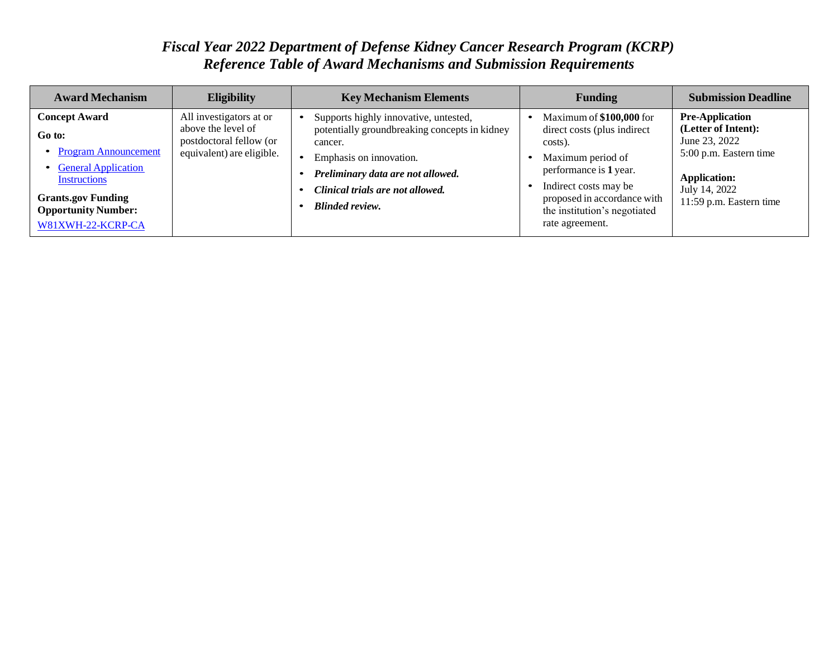| <b>Award Mechanism</b>                                                                                                                                                                 | <b>Eligibility</b>                                                                                    | <b>Key Mechanism Elements</b>                                                                                                                                                                                                   | <b>Funding</b>                                                                                                                                                                                                                | <b>Submission Deadline</b>                                                                                                                                  |
|----------------------------------------------------------------------------------------------------------------------------------------------------------------------------------------|-------------------------------------------------------------------------------------------------------|---------------------------------------------------------------------------------------------------------------------------------------------------------------------------------------------------------------------------------|-------------------------------------------------------------------------------------------------------------------------------------------------------------------------------------------------------------------------------|-------------------------------------------------------------------------------------------------------------------------------------------------------------|
| <b>Concept Award</b><br>Go to:<br><b>Program Announcement</b><br>• General Application<br>Instructions<br><b>Grants.gov Funding</b><br><b>Opportunity Number:</b><br>W81XWH-22-KCRP-CA | All investigators at or<br>above the level of<br>postdoctoral fellow (or<br>equivalent) are eligible. | Supports highly innovative, untested,<br>potentially groundbreaking concepts in kidney<br>cancer.<br>Emphasis on innovation.<br>Preliminary data are not allowed.<br>Clinical trials are not allowed.<br><b>Blinded review.</b> | Maximum of \$100,000 for<br>direct costs (plus indirect)<br>costs).<br>Maximum period of<br>performance is 1 year.<br>Indirect costs may be<br>proposed in accordance with<br>the institution's negotiated<br>rate agreement. | <b>Pre-Application</b><br>(Letter of Intent):<br>June 23, 2022<br>5:00 p.m. Eastern time<br><b>Application:</b><br>July 14, 2022<br>11:59 p.m. Eastern time |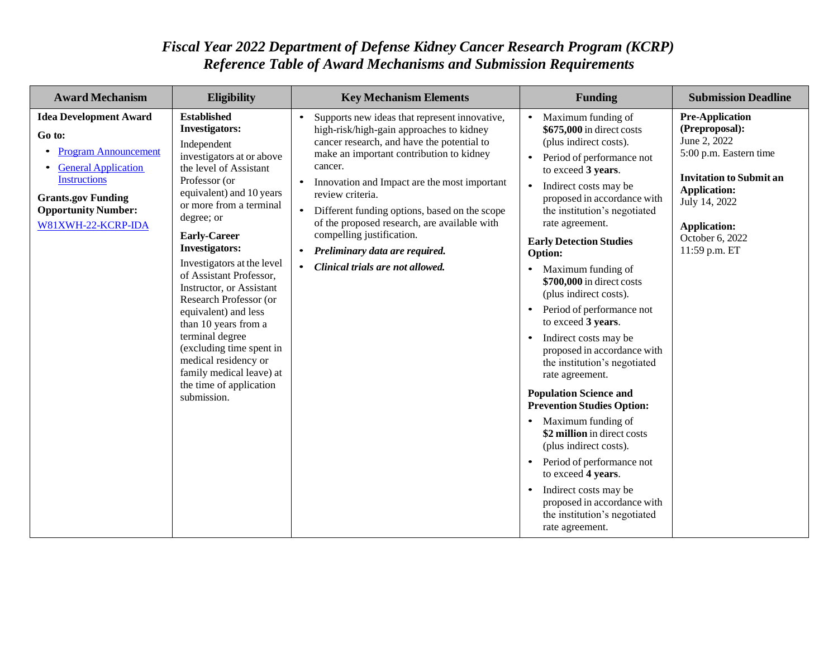| <b>Award Mechanism</b>                                                                                                                                                                                       | <b>Eligibility</b>                                                                                                                                                                                                                                                                                                                                                                                                                                                                                                                                                  | <b>Key Mechanism Elements</b>                                                                                                                                                                                                                                                                                                                                                                                                                                                                                   | <b>Funding</b>                                                                                                                                                                                                                                                                                                                                                                                                                                                                                                                                                                                                                                                                                                                                                                                                                                                                                                | <b>Submission Deadline</b>                                                                                                                                                                                              |
|--------------------------------------------------------------------------------------------------------------------------------------------------------------------------------------------------------------|---------------------------------------------------------------------------------------------------------------------------------------------------------------------------------------------------------------------------------------------------------------------------------------------------------------------------------------------------------------------------------------------------------------------------------------------------------------------------------------------------------------------------------------------------------------------|-----------------------------------------------------------------------------------------------------------------------------------------------------------------------------------------------------------------------------------------------------------------------------------------------------------------------------------------------------------------------------------------------------------------------------------------------------------------------------------------------------------------|---------------------------------------------------------------------------------------------------------------------------------------------------------------------------------------------------------------------------------------------------------------------------------------------------------------------------------------------------------------------------------------------------------------------------------------------------------------------------------------------------------------------------------------------------------------------------------------------------------------------------------------------------------------------------------------------------------------------------------------------------------------------------------------------------------------------------------------------------------------------------------------------------------------|-------------------------------------------------------------------------------------------------------------------------------------------------------------------------------------------------------------------------|
| <b>Idea Development Award</b><br>Go to:<br><b>Program Announcement</b><br><b>General Application</b><br><b>Instructions</b><br><b>Grants.gov Funding</b><br><b>Opportunity Number:</b><br>W81XWH-22-KCRP-IDA | <b>Established</b><br><b>Investigators:</b><br>Independent<br>investigators at or above<br>the level of Assistant<br>Professor (or<br>equivalent) and 10 years<br>or more from a terminal<br>degree; or<br><b>Early-Career</b><br><b>Investigators:</b><br>Investigators at the level<br>of Assistant Professor,<br>Instructor, or Assistant<br>Research Professor (or<br>equivalent) and less<br>than 10 years from a<br>terminal degree<br>(excluding time spent in<br>medical residency or<br>family medical leave) at<br>the time of application<br>submission. | Supports new ideas that represent innovative,<br>high-risk/high-gain approaches to kidney<br>cancer research, and have the potential to<br>make an important contribution to kidney<br>cancer.<br>Innovation and Impact are the most important<br>$\bullet$<br>review criteria.<br>$\bullet$<br>Different funding options, based on the scope<br>of the proposed research, are available with<br>compelling justification.<br>• Preliminary data are required.<br>Clinical trials are not allowed.<br>$\bullet$ | Maximum funding of<br>\$675,000 in direct costs<br>(plus indirect costs).<br>Period of performance not<br>to exceed 3 years.<br>Indirect costs may be<br>$\bullet$<br>proposed in accordance with<br>the institution's negotiated<br>rate agreement.<br><b>Early Detection Studies</b><br><b>Option:</b><br>Maximum funding of<br>$\bullet$<br>\$700,000 in direct costs<br>(plus indirect costs).<br>Period of performance not<br>to exceed 3 years.<br>Indirect costs may be<br>$\bullet$<br>proposed in accordance with<br>the institution's negotiated<br>rate agreement.<br><b>Population Science and</b><br><b>Prevention Studies Option:</b><br>Maximum funding of<br>\$2 million in direct costs<br>(plus indirect costs).<br>Period of performance not<br>$\bullet$<br>to exceed 4 years.<br>Indirect costs may be<br>proposed in accordance with<br>the institution's negotiated<br>rate agreement. | <b>Pre-Application</b><br>(Preproposal):<br>June 2, 2022<br>5:00 p.m. Eastern time<br><b>Invitation to Submit an</b><br><b>Application:</b><br>July 14, 2022<br><b>Application:</b><br>October 6, 2022<br>11:59 p.m. ET |